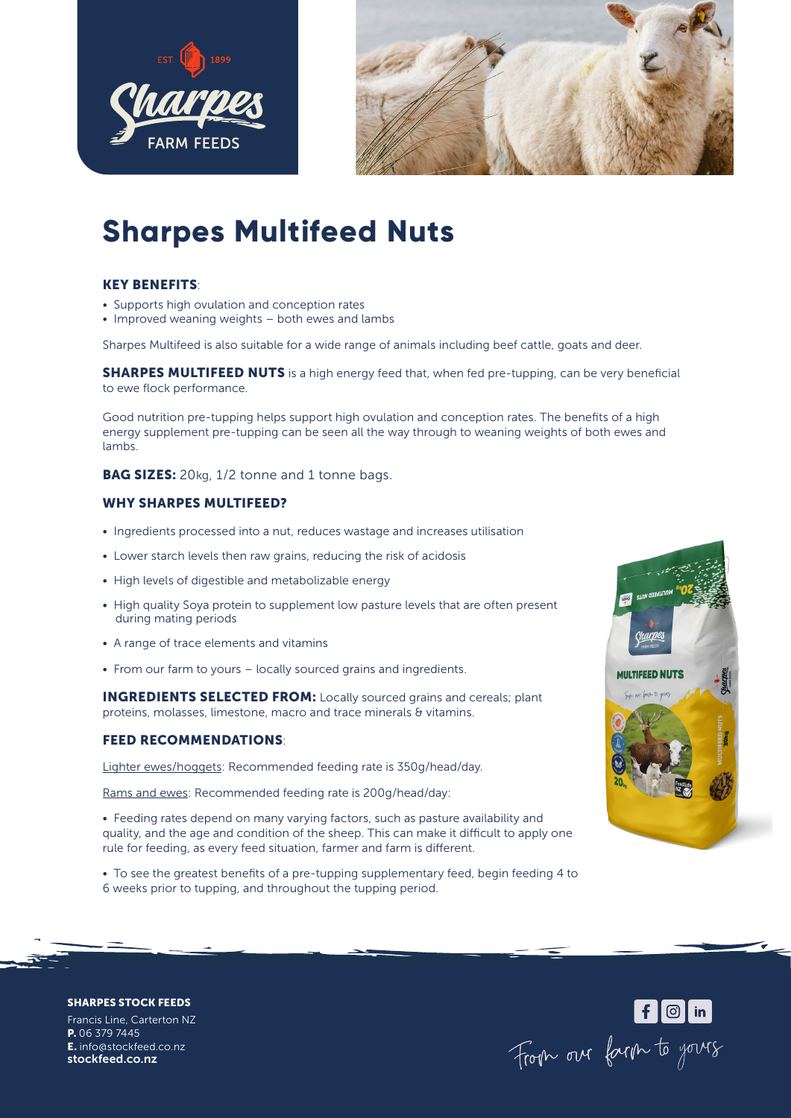



# **Sharpes Multifeed Nuts**

### KEY BENEFITS:

- Supports high ovulation and conception rates
- Improved weaning weights both ewes and lambs

Sharpes Multifeed is also suitable for a wide range of animals including beef cattle, goats and deer.

**SHARPES MULTIFEED NUTS** is a high energy feed that, when fed pre-tupping, can be very beneficial to ewe flock performance.

Good nutrition pre-tupping helps support high ovulation and conception rates. The benefits of a high energy supplement pre-tupping can be seen all the way through to weaning weights of both ewes and lambs.

**BAG SIZES:** 20kg, 1/2 tonne and 1 tonne bags.

#### WHY SHARPES MULTIFEED?

- Ingredients processed into a nut, reduces wastage and increases utilisation
- Lower starch levels then raw grains, reducing the risk of acidosis
- High levels of digestible and metabolizable energy
- High quality Soya protein to supplement low pasture levels that are often present during mating periods
- A range of trace elements and vitamins
- From our farm to yours locally sourced grains and ingredients.

INGREDIENTS SELECTED FROM: Locally sourced grains and cereals; plant proteins, molasses, limestone, macro and trace minerals & vitamins.

#### FEED RECOMMENDATIONS:

Lighter ewes/hoggets: Recommended feeding rate is 350g/head/day.

Rams and ewes: Recommended feeding rate is 200g/head/day:

• Feeding rates depend on many varying factors, such as pasture availability and quality, and the age and condition of the sheep. This can make it difficult to apply one rule for feeding, as every feed situation, farmer and farm is different.

• To see the greatest benefits of a pre-tupping supplementary feed, begin feeding 4 to 6 weeks prior to tupping, and throughout the tupping period.



Form our farm to yours

SHARPES STOCK FEEDS

Francis Line, Carterton NZ P. 06 379 7445 E. info@stockfeed.co.nz stockfeed.co.nz